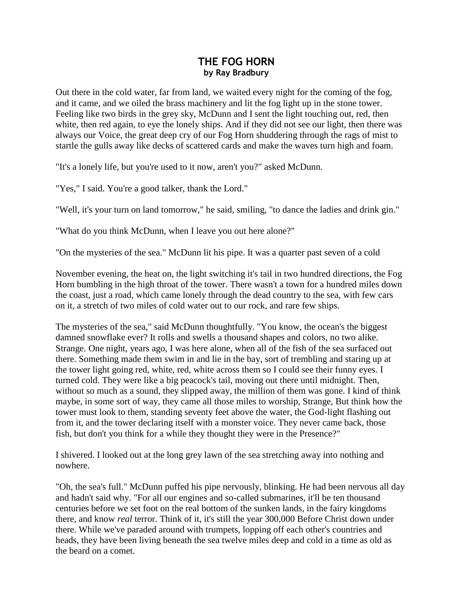## **THE FOG HORN by Ray Bradbury**

Out there in the cold water, far from land, we waited every night for the coming of the fog, and it came, and we oiled the brass machinery and lit the fog light up in the stone tower. Feeling like two birds in the grey sky, McDunn and I sent the light touching out, red, then white, then red again, to eye the lonely ships. And if they did not see our light, then there was always our Voice, the great deep cry of our Fog Horn shuddering through the rags of mist to startle the gulls away like decks of scattered cards and make the waves turn high and foam.

"It's a lonely life, but you're used to it now, aren't you?" asked McDunn.

"Yes," I said. You're a good talker, thank the Lord."

"Well, it's your turn on land tomorrow," he said, smiling, "to dance the ladies and drink gin."

"What do you think McDunn, when I leave you out here alone?"

"On the mysteries of the sea." McDunn lit his pipe. It was a quarter past seven of a cold

November evening, the heat on, the light switching it's tail in two hundred directions, the Fog Horn bumbling in the high throat of the tower. There wasn't a town for a hundred miles down the coast, just a road, which came lonely through the dead country to the sea, with few cars on it, a stretch of two miles of cold water out to our rock, and rare few ships.

The mysteries of the sea," said McDunn thoughtfully. "You know, the ocean's the biggest damned snowflake ever? It rolls and swells a thousand shapes and colors, no two alike. Strange. One night, years ago, I was here alone, when all of the fish of the sea surfaced out there. Something made them swim in and lie in the bay, sort of trembling and staring up at the tower light going red, white, red, white across them so I could see their funny eyes. I turned cold. They were like a big peacock's tail, moving out there until midnight. Then, without so much as a sound, they slipped away, the million of them was gone. I kind of think maybe, in some sort of way, they came all those miles to worship, Strange, But think how the tower must look to them, standing seventy feet above the water, the God-light flashing out from it, and the tower declaring itself with a monster voice. They never came back, those fish, but don't you think for a while they thought they were in the Presence?"

I shivered. I looked out at the long grey lawn of the sea stretching away into nothing and nowhere.

"Oh, the sea's full." McDunn puffed his pipe nervously, blinking. He had been nervous all day and hadn't said why. "For all our engines and so-called submarines, it'll be ten thousand centuries before we set foot on the real bottom of the sunken lands, in the fairy kingdoms there, and know *real* terror. Think of it, it's still the year 300,000 Before Christ down under there. While we've paraded around with trumpets, lopping off each other's countries and heads, they have been living beneath the sea twelve miles deep and cold in a time as old as the beard on a comet.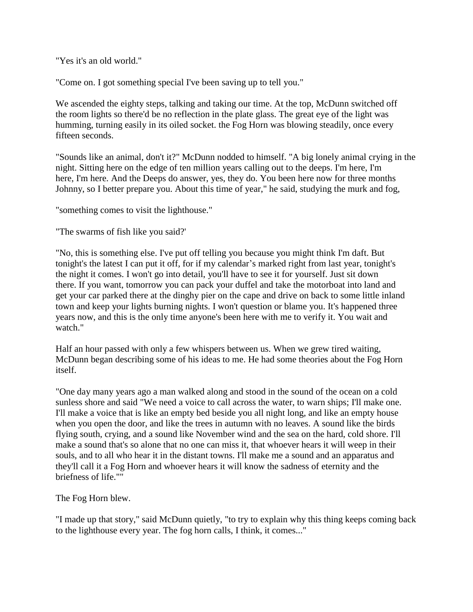"Yes it's an old world."

"Come on. I got something special I've been saving up to tell you."

We ascended the eighty steps, talking and taking our time. At the top, McDunn switched off the room lights so there'd be no reflection in the plate glass. The great eye of the light was humming, turning easily in its oiled socket. the Fog Horn was blowing steadily, once every fifteen seconds.

"Sounds like an animal, don't it?" McDunn nodded to himself. "A big lonely animal crying in the night. Sitting here on the edge of ten million years calling out to the deeps. I'm here, I'm here, I'm here. And the Deeps do answer, yes, they do. You been here now for three months Johnny, so I better prepare you. About this time of year," he said, studying the murk and fog,

"something comes to visit the lighthouse."

"The swarms of fish like you said?'

"No, this is something else. I've put off telling you because you might think I'm daft. But tonight's the latest I can put it off, for if my calendar's marked right from last year, tonight's the night it comes. I won't go into detail, you'll have to see it for yourself. Just sit down there. If you want, tomorrow you can pack your duffel and take the motorboat into land and get your car parked there at the dinghy pier on the cape and drive on back to some little inland town and keep your lights burning nights. I won't question or blame you. It's happened three years now, and this is the only time anyone's been here with me to verify it. You wait and watch."

Half an hour passed with only a few whispers between us. When we grew tired waiting, McDunn began describing some of his ideas to me. He had some theories about the Fog Horn itself.

"One day many years ago a man walked along and stood in the sound of the ocean on a cold sunless shore and said "We need a voice to call across the water, to warn ships; I'll make one. I'll make a voice that is like an empty bed beside you all night long, and like an empty house when you open the door, and like the trees in autumn with no leaves. A sound like the birds flying south, crying, and a sound like November wind and the sea on the hard, cold shore. I'll make a sound that's so alone that no one can miss it, that whoever hears it will weep in their souls, and to all who hear it in the distant towns. I'll make me a sound and an apparatus and they'll call it a Fog Horn and whoever hears it will know the sadness of eternity and the briefness of life.""

The Fog Horn blew.

"I made up that story," said McDunn quietly, "to try to explain why this thing keeps coming back to the lighthouse every year. The fog horn calls, I think, it comes..."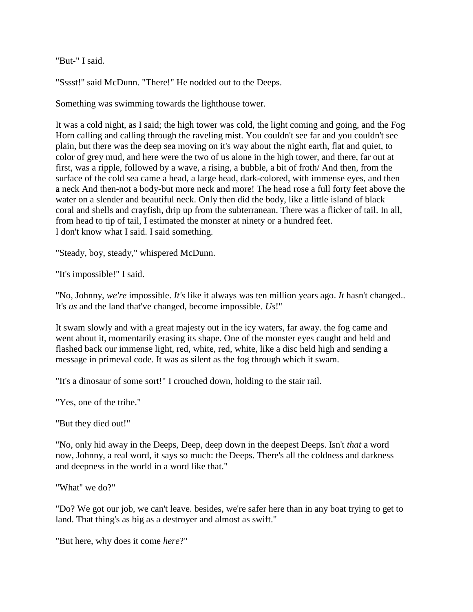"But-" I said.

"Sssst!" said McDunn. "There!" He nodded out to the Deeps.

Something was swimming towards the lighthouse tower.

It was a cold night, as I said; the high tower was cold, the light coming and going, and the Fog Horn calling and calling through the raveling mist. You couldn't see far and you couldn't see plain, but there was the deep sea moving on it's way about the night earth, flat and quiet, to color of grey mud, and here were the two of us alone in the high tower, and there, far out at first, was a ripple, followed by a wave, a rising, a bubble, a bit of froth/ And then, from the surface of the cold sea came a head, a large head, dark-colored, with immense eyes, and then a neck And then-not a body-but more neck and more! The head rose a full forty feet above the water on a slender and beautiful neck. Only then did the body, like a little island of black coral and shells and crayfish, drip up from the subterranean. There was a flicker of tail. In all, from head to tip of tail, I estimated the monster at ninety or a hundred feet. I don't know what I said. I said something.

"Steady, boy, steady," whispered McDunn.

"It's impossible!" I said.

"No, Johnny, *we're* impossible. *It's* like it always was ten million years ago. *It* hasn't changed.. It's *us* and the land that've changed, become impossible. *Us*!"

It swam slowly and with a great majesty out in the icy waters, far away. the fog came and went about it, momentarily erasing its shape. One of the monster eyes caught and held and flashed back our immense light, red, white, red, white, like a disc held high and sending a message in primeval code. It was as silent as the fog through which it swam.

"It's a dinosaur of some sort!" I crouched down, holding to the stair rail.

"Yes, one of the tribe."

"But they died out!"

"No, only hid away in the Deeps, Deep, deep down in the deepest Deeps. Isn't *that* a word now, Johnny, a real word, it says so much: the Deeps. There's all the coldness and darkness and deepness in the world in a word like that."

"What'' we do?"

"Do? We got our job, we can't leave. besides, we're safer here than in any boat trying to get to land. That thing's as big as a destroyer and almost as swift."

"But here, why does it come *here*?"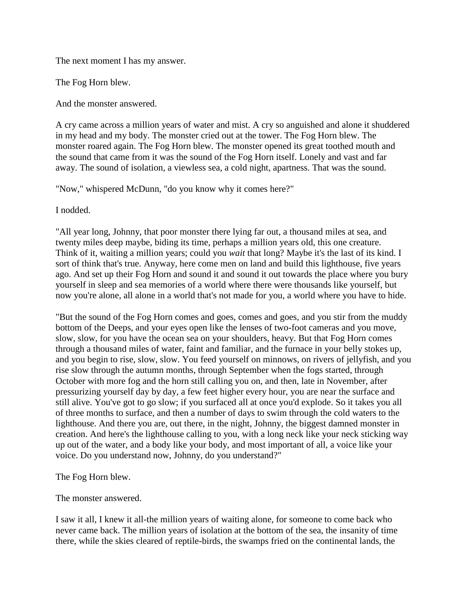The next moment I has my answer.

The Fog Horn blew.

And the monster answered.

A cry came across a million years of water and mist. A cry so anguished and alone it shuddered in my head and my body. The monster cried out at the tower. The Fog Horn blew. The monster roared again. The Fog Horn blew. The monster opened its great toothed mouth and the sound that came from it was the sound of the Fog Horn itself. Lonely and vast and far away. The sound of isolation, a viewless sea, a cold night, apartness. That was the sound.

"Now," whispered McDunn, "do you know why it comes here?"

I nodded.

"All year long, Johnny, that poor monster there lying far out, a thousand miles at sea, and twenty miles deep maybe, biding its time, perhaps a million years old, this one creature. Think of it, waiting a million years; could you *wait* that long? Maybe it's the last of its kind. I sort of think that's true. Anyway, here come men on land and build this lighthouse, five years ago. And set up their Fog Horn and sound it and sound it out towards the place where you bury yourself in sleep and sea memories of a world where there were thousands like yourself, but now you're alone, all alone in a world that's not made for you, a world where you have to hide.

"But the sound of the Fog Horn comes and goes, comes and goes, and you stir from the muddy bottom of the Deeps, and your eyes open like the lenses of two-foot cameras and you move, slow, slow, for you have the ocean sea on your shoulders, heavy. But that Fog Horn comes through a thousand miles of water, faint and familiar, and the furnace in your belly stokes up, and you begin to rise, slow, slow. You feed yourself on minnows, on rivers of jellyfish, and you rise slow through the autumn months, through September when the fogs started, through October with more fog and the horn still calling you on, and then, late in November, after pressurizing yourself day by day, a few feet higher every hour, you are near the surface and still alive. You've got to go slow; if you surfaced all at once you'd explode. So it takes you all of three months to surface, and then a number of days to swim through the cold waters to the lighthouse. And there you are, out there, in the night, Johnny, the biggest damned monster in creation. And here's the lighthouse calling to you, with a long neck like your neck sticking way up out of the water, and a body like your body, and most important of all, a voice like your voice. Do you understand now, Johnny, do you understand?"

The Fog Horn blew.

The monster answered.

I saw it all, I knew it all-the million years of waiting alone, for someone to come back who never came back. The million years of isolation at the bottom of the sea, the insanity of time there, while the skies cleared of reptile-birds, the swamps fried on the continental lands, the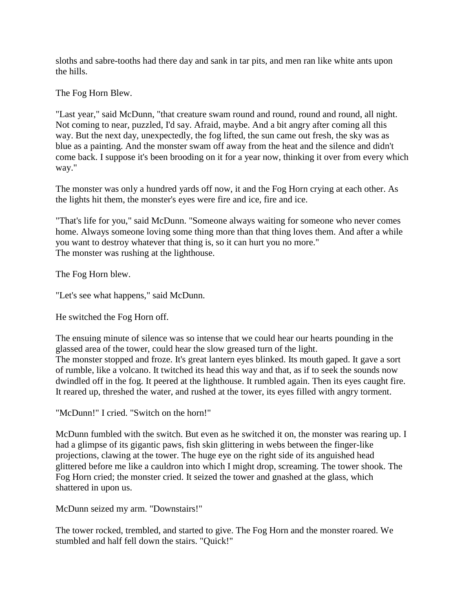sloths and sabre-tooths had there day and sank in tar pits, and men ran like white ants upon the hills.

The Fog Horn Blew.

"Last year," said McDunn, "that creature swam round and round, round and round, all night. Not coming to near, puzzled, I'd say. Afraid, maybe. And a bit angry after coming all this way. But the next day, unexpectedly, the fog lifted, the sun came out fresh, the sky was as blue as a painting. And the monster swam off away from the heat and the silence and didn't come back. I suppose it's been brooding on it for a year now, thinking it over from every which way."

The monster was only a hundred yards off now, it and the Fog Horn crying at each other. As the lights hit them, the monster's eyes were fire and ice, fire and ice.

"That's life for you," said McDunn. "Someone always waiting for someone who never comes home. Always someone loving some thing more than that thing loves them. And after a while you want to destroy whatever that thing is, so it can hurt you no more." The monster was rushing at the lighthouse.

The Fog Horn blew.

"Let's see what happens," said McDunn.

He switched the Fog Horn off.

The ensuing minute of silence was so intense that we could hear our hearts pounding in the glassed area of the tower, could hear the slow greased turn of the light. The monster stopped and froze. It's great lantern eyes blinked. Its mouth gaped. It gave a sort of rumble, like a volcano. It twitched its head this way and that, as if to seek the sounds now dwindled off in the fog. It peered at the lighthouse. It rumbled again. Then its eyes caught fire. It reared up, threshed the water, and rushed at the tower, its eyes filled with angry torment.

"McDunn!" I cried. "Switch on the horn!"

McDunn fumbled with the switch. But even as he switched it on, the monster was rearing up. I had a glimpse of its gigantic paws, fish skin glittering in webs between the finger-like projections, clawing at the tower. The huge eye on the right side of its anguished head glittered before me like a cauldron into which I might drop, screaming. The tower shook. The Fog Horn cried; the monster cried. It seized the tower and gnashed at the glass, which shattered in upon us.

McDunn seized my arm. "Downstairs!"

The tower rocked, trembled, and started to give. The Fog Horn and the monster roared. We stumbled and half fell down the stairs. "Quick!"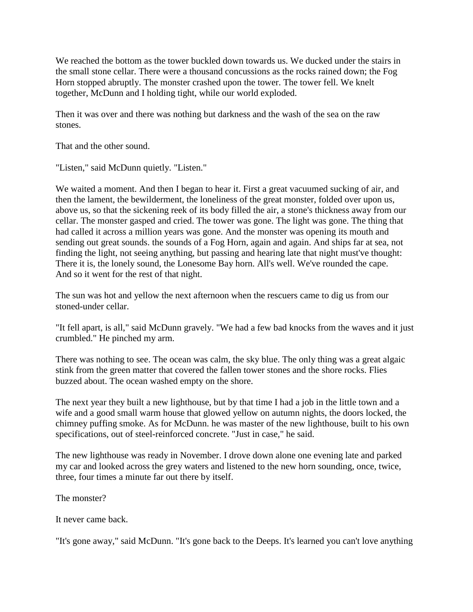We reached the bottom as the tower buckled down towards us. We ducked under the stairs in the small stone cellar. There were a thousand concussions as the rocks rained down; the Fog Horn stopped abruptly. The monster crashed upon the tower. The tower fell. We knelt together, McDunn and I holding tight, while our world exploded.

Then it was over and there was nothing but darkness and the wash of the sea on the raw stones.

That and the other sound.

"Listen," said McDunn quietly. "Listen."

We waited a moment. And then I began to hear it. First a great vacuumed sucking of air, and then the lament, the bewilderment, the loneliness of the great monster, folded over upon us, above us, so that the sickening reek of its body filled the air, a stone's thickness away from our cellar. The monster gasped and cried. The tower was gone. The light was gone. The thing that had called it across a million years was gone. And the monster was opening its mouth and sending out great sounds. the sounds of a Fog Horn, again and again. And ships far at sea, not finding the light, not seeing anything, but passing and hearing late that night must've thought: There it is, the lonely sound, the Lonesome Bay horn. All's well. We've rounded the cape. And so it went for the rest of that night.

The sun was hot and yellow the next afternoon when the rescuers came to dig us from our stoned-under cellar.

"It fell apart, is all," said McDunn gravely. "We had a few bad knocks from the waves and it just crumbled." He pinched my arm.

There was nothing to see. The ocean was calm, the sky blue. The only thing was a great algaic stink from the green matter that covered the fallen tower stones and the shore rocks. Flies buzzed about. The ocean washed empty on the shore.

The next year they built a new lighthouse, but by that time I had a job in the little town and a wife and a good small warm house that glowed yellow on autumn nights, the doors locked, the chimney puffing smoke. As for McDunn. he was master of the new lighthouse, built to his own specifications, out of steel-reinforced concrete. "Just in case," he said.

The new lighthouse was ready in November. I drove down alone one evening late and parked my car and looked across the grey waters and listened to the new horn sounding, once, twice, three, four times a minute far out there by itself.

The monster?

It never came back.

"It's gone away," said McDunn. "It's gone back to the Deeps. It's learned you can't love anything